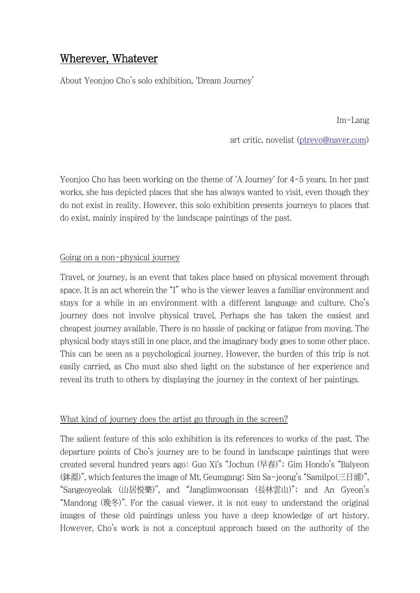## Wherever, Whatever

About Yeonjoo Cho's solo exhibition, 'Dream Journey'

Im-Lang

art critic, novelist [\(ptrevo@naver.com\)](mailto:ptrevo@naver.com)

Yeonjoo Cho has been working on the theme of 'A Journey' for 4-5 years. In her past works, she has depicted places that she has always wanted to visit, even though they do not exist in reality. However, this solo exhibition presents journeys to places that do exist, mainly inspired by the landscape paintings of the past.

## Going on a non-physical journey

Travel, or journey, is an event that takes place based on physical movement through space. It is an act wherein the "I" who is the viewer leaves a familiar environment and stays for a while in an environment with a different language and culture. Cho's journey does not involve physical travel. Perhaps she has taken the easiest and cheapest journey available. There is no hassle of packing or fatigue from moving. The physical body stays still in one place, and the imaginary body goes to some other place. This can be seen as a psychological journey. However, the burden of this trip is not easily carried, as Cho must also shed light on the substance of her experience and reveal its truth to others by displaying the journey in the context of her paintings.

## What kind of journey does the artist go through in the screen?

The salient feature of this solo exhibition is its references to works of the past. The departure points of Cho's journey are to be found in landscape paintings that were created several hundred years ago: Guo Xi's "Jochun (早春)"; Gim Hondo's "Balyeon (鉢淵)", which features the image of Mt. Geumgang; Sim Sa-jeong's "Samilpo(三日浦)", "Sangeoyeolak (山居悅樂)", and "Janglimwoonsan (長林雲山)"; and An Gyeon's "Mandong (晩冬)". For the casual viewer, it is not easy to understand the original images of these old paintings unless you have a deep knowledge of art history. However, Cho's work is not a conceptual approach based on the authority of the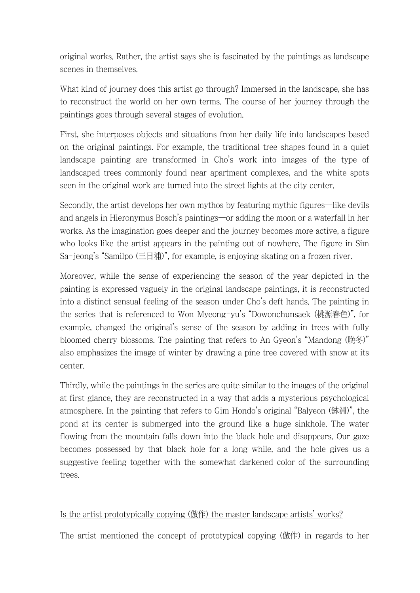original works. Rather, the artist says she is fascinated by the paintings as landscape scenes in themselves.

What kind of journey does this artist go through? Immersed in the landscape, she has to reconstruct the world on her own terms. The course of her journey through the paintings goes through several stages of evolution.

First, she interposes objects and situations from her daily life into landscapes based on the original paintings. For example, the traditional tree shapes found in a quiet landscape painting are transformed in Cho's work into images of the type of landscaped trees commonly found near apartment complexes, and the white spots seen in the original work are turned into the street lights at the city center.

Secondly, the artist develops her own mythos by featuring mythic figures—like devils and angels in Hieronymus Bosch's paintings—or adding the moon or a waterfall in her works. As the imagination goes deeper and the journey becomes more active, a figure who looks like the artist appears in the painting out of nowhere. The figure in Sim Sa-jeong's "Samilpo (三日浦)", for example, is enjoying skating on a frozen river.

Moreover, while the sense of experiencing the season of the year depicted in the painting is expressed vaguely in the original landscape paintings, it is reconstructed into a distinct sensual feeling of the season under Cho's deft hands. The painting in the series that is referenced to Won Myeong-yu's "Dowonchunsaek (桃源春色)", for example, changed the original's sense of the season by adding in trees with fully bloomed cherry blossoms. The painting that refers to An Gyeon's "Mandong (晩冬)" also emphasizes the image of winter by drawing a pine tree covered with snow at its center.

Thirdly, while the paintings in the series are quite similar to the images of the original at first glance, they are reconstructed in a way that adds a mysterious psychological atmosphere. In the painting that refers to Gim Hondo's original "Balyeon (鉢淵)", the pond at its center is submerged into the ground like a huge sinkhole. The water flowing from the mountain falls down into the black hole and disappears. Our gaze becomes possessed by that black hole for a long while, and the hole gives us a suggestive feeling together with the somewhat darkened color of the surrounding trees.

## Is the artist prototypically copying (倣作) the master landscape artists' works?

The artist mentioned the concept of prototypical copying (倣作) in regards to her